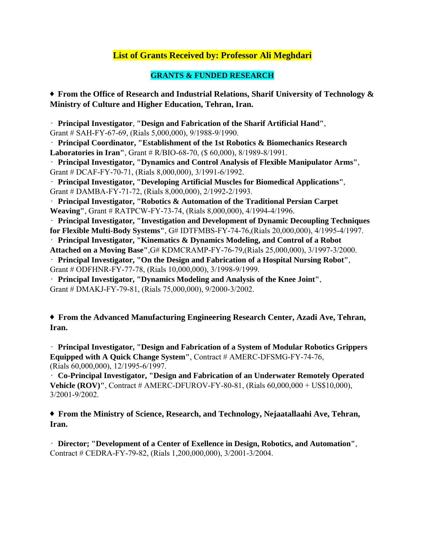## **List of Grants Received by: Professor Ali Meghdari**

## **GRANTS & FUNDED RESEARCH**

♦ **From the Office of Research and Industrial Relations, Sharif University of Technology & Ministry of Culture and Higher Education, Tehran, Iran.** 

• **Principal Investigator**, **"Design and Fabrication of the Sharif Artificial Hand"**, Grant # SAH-FY-67-69, (Rials 5,000,000), 9/1988-9/1990.

• **Principal Coordinator, "Establishment of the 1st Robotics & Biomechanics Research Laboratories in Iran"**, Grant # R/BIO-68-70, (\$ 60,000), 8/1989-8/1991.

• **Principal Investigator, "Dynamics and Control Analysis of Flexible Manipulator Arms"**, Grant # DCAF-FY-70-71, (Rials 8,000,000), 3/1991-6/1992.

• **Principal Investigator, "Developing Artificial Muscles for Biomedical Applications"**, Grant # DAMBA-FY-71-72, (Rials 8,000,000), 2/1992-2/1993.

• **Principal Investigator, "Robotics & Automation of the Traditional Persian Carpet Weaving"**, Grant # RATPCW-FY-73-74, (Rials 8,000,000), 4/1994-4/1996.

• **Principal Investigator, "Investigation and Development of Dynamic Decoupling Techniques for Flexible Multi-Body Systems"**, G# IDTFMBS-FY-74-76,(Rials 20,000,000), 4/1995-4/1997.

• **Principal Investigator, "Kinematics & Dynamics Modeling, and Control of a Robot** 

**Attached on a Moving Base"**,G# KDMCRAMP-FY-76-79,(Rials 25,000,000), 3/1997-3/2000.

• **Principal Investigator, "On the Design and Fabrication of a Hospital Nursing Robot"**, Grant # ODFHNR-FY-77-78, (Rials 10,000,000), 3/1998-9/1999.

• **Principal Investigator, "Dynamics Modeling and Analysis of the Knee Joint"**, Grant # DMAKJ-FY-79-81, (Rials 75,000,000), 9/2000-3/2002.

♦ **From the Advanced Manufacturing Engineering Research Center, Azadi Ave, Tehran, Iran.** 

• **Principal Investigator, "Design and Fabrication of a System of Modular Robotics Grippers Equipped with A Quick Change System"**, Contract # AMERC-DFSMG-FY-74-76, (Rials 60,000,000), 12/1995-6/1997.

• **Co-Principal Investigator, "Design and Fabrication of an Underwater Remotely Operated Vehicle (ROV)'', Contract # AMERC-DFUROV-FY-80-81, (Rials 60,000,000 + US\$10,000),** 3/2001-9/2002.

♦ **From the Ministry of Science, Research, and Technology, Nejaatallaahi Ave, Tehran, Iran.** 

• **Director; "Development of a Center of Exellence in Design, Robotics, and Automation"**, Contract # CEDRA-FY-79-82, (Rials 1,200,000,000), 3/2001-3/2004.